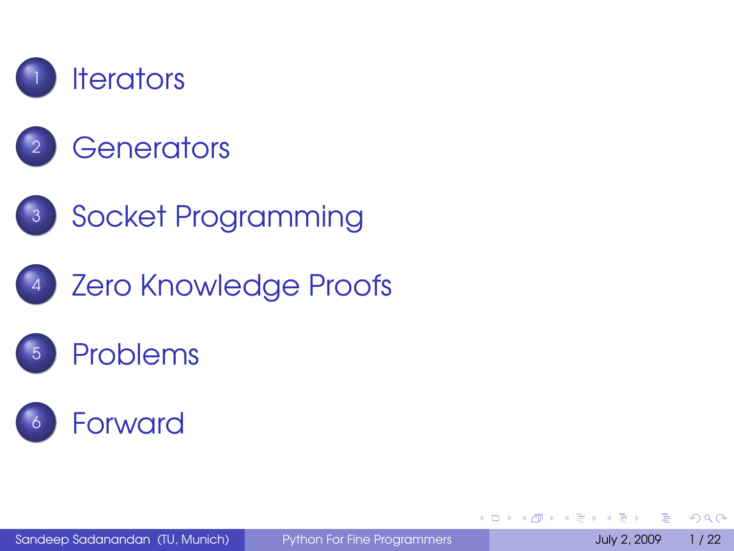







#### **[Problems](#page-31-0)**



Sandeep Sadanandan (TU, Munich) [Python For Fine Programmers](#page-32-0) July 2, 2009 1/22

 $QQQ$ 

<span id="page-0-0"></span>一 4 三

イロト イ母 トイヨト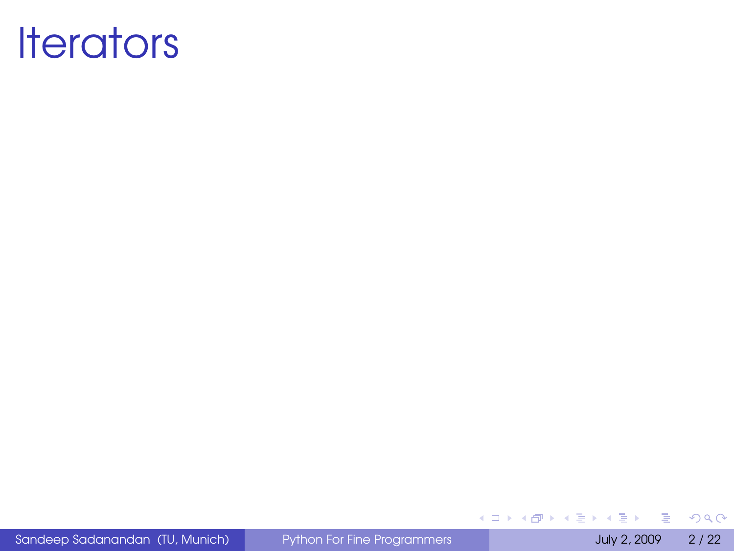

Sandeep Sadanandan (TU, Munich) [Python For Fine Programmers](#page-0-0) July 2, 2009 2 / 22

<span id="page-1-0"></span>÷,

 $299$ 

メロトメ 御 トメ 差 トメ 差 ト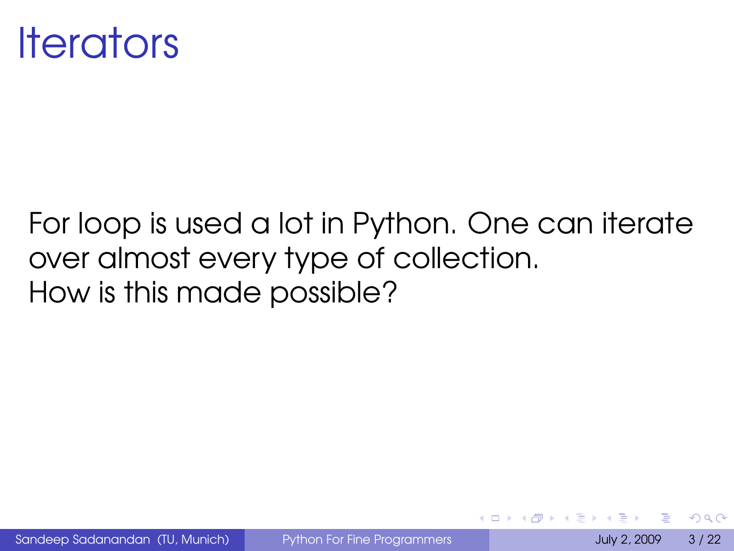

#### For loop is used a lot in Python. One can iterate over almost every type of collection. How is this made possible?

Sandeep Sadanandan (TU, Munich) [Python For Fine Programmers](#page-0-0) July 2, 2009 3/22

 $\Omega$ 

 $\leftarrow$   $\Box$   $\rightarrow$   $\leftarrow$   $\leftarrow$   $\Box$   $\rightarrow$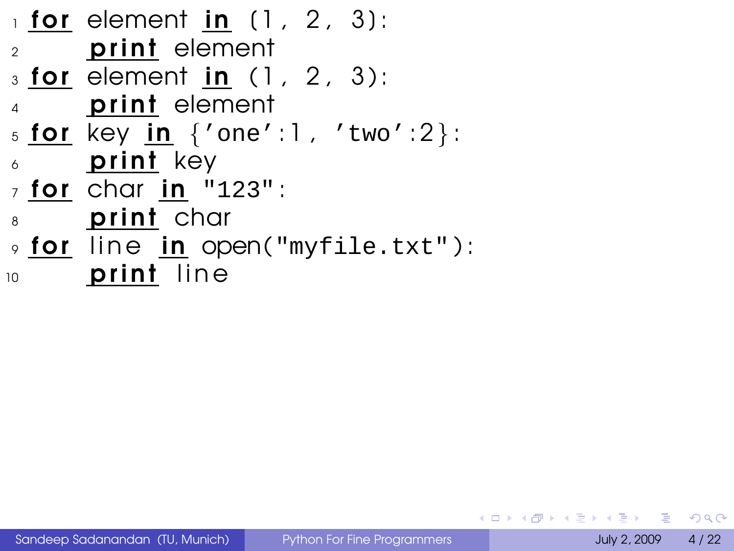```
_1 for element in (1, 2, 3):
2 print element
_3 for element in (1, 2, 3):
     print element
5 for key in \{ 'one': 1, 'two': 2 }:
\delta print key
<sub>7</sub> for char in "123":</sub>
8 print char
9 for line in open("myfile.txt"):
10 print line
```
KEL KALLA BIKA BIKA GA A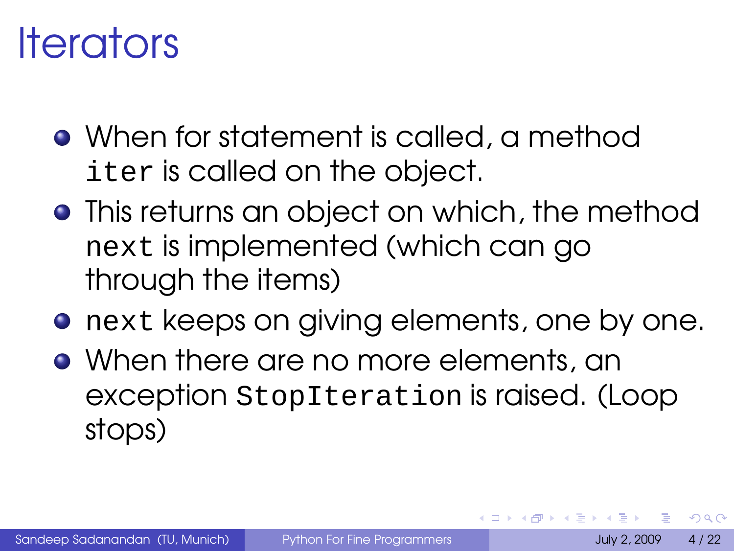## Iterators

- When for statement is called, a method iter is called on the object.
- **•** This returns an object on which, the method next is implemented (which can go through the items)
- **•** next keeps on giving elements, one by one.
- When there are no more elements, an exception StopIteration is raised. (Loop stops)

 $\Omega$ 

**4 ロト 4 何 ト 4**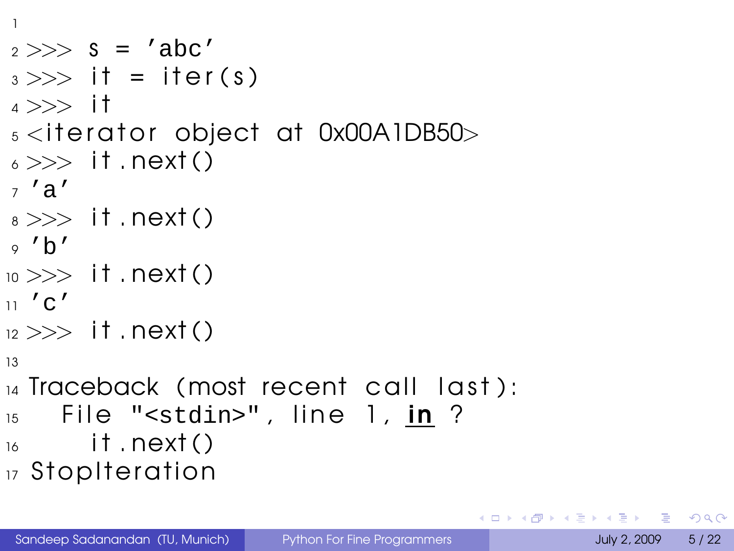```
1
2 >> S = 'abc'3 \gg \gt 1 = iter(s)
4 >> i<sup>†</sup>s <iterator object at 0x00A1DB50>6 \gg > it . next()
7 'a'
s \gg > it . next()
\circ 'b'
_{10} >> it .next()
11' C'_{12} >> it . next()
13
_{14} Traceback (most recent call last):
_{15} File "<stdin>", line 1, in ?
_{16} it . next ()
17 Stop Iteration
```
 $\equiv$   $\cap$   $\alpha$ 

イロト イ母 トイヨ トイヨト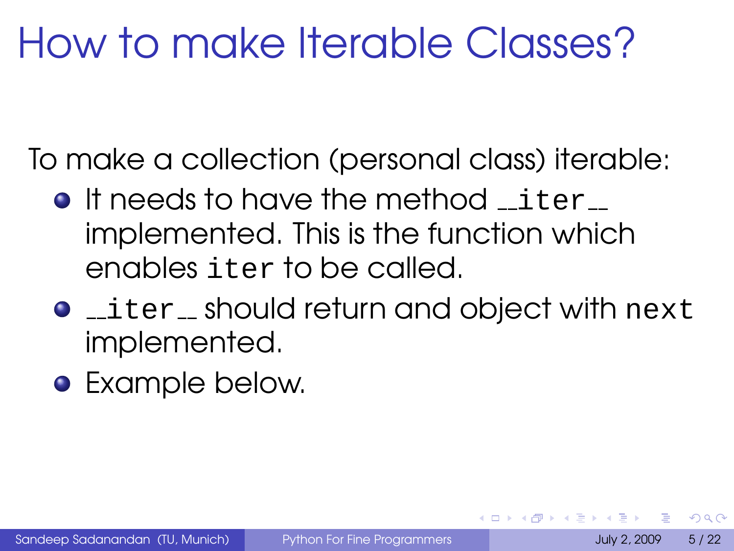# How to make Iterable Classes?

To make a collection (personal class) iterable:

- **It needs to have the method** iter implemented. This is the function which enables iter to be called.
- **•** \_iter\_should return and object with next implemented.
- **•** Example below.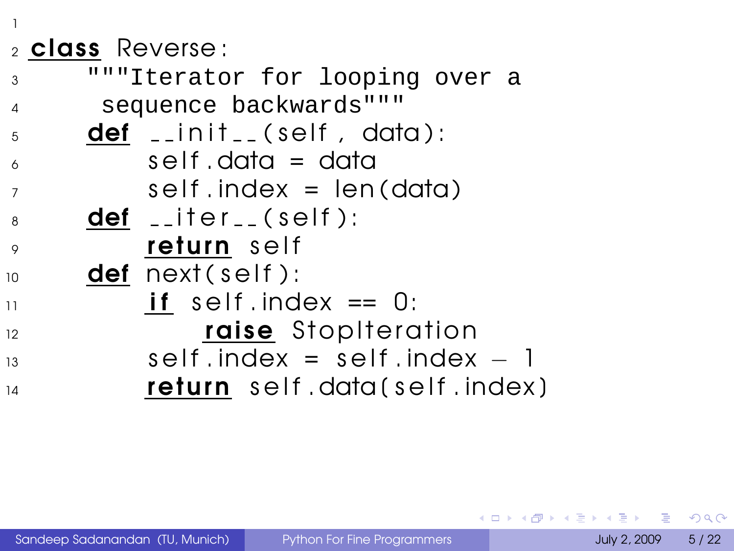#### <sup>2</sup> class Reverse :

1

<sup>3</sup> """Iterator for looping over a <sup>4</sup> sequence backwards"""  $5 \qquad$  def  $\Box$  in it  $\Box$  (self, data):  $\epsilon$  self data = data  $\sigma$  self index = len(data)  $\frac{1}{8}$  def  $\frac{1}{2}$  iter $\frac{1}{2}$  (self):  $\circ$  return self  $10$  def next (self):  $\mathbf{11}$  if self . index == 0: 12 raise Stop Iteration  $13$  self. index = self. index  $-1$  $\frac{1}{14}$  return self.data(self.index)

 $\Omega$ 

イロト イ押ト イヨト イヨト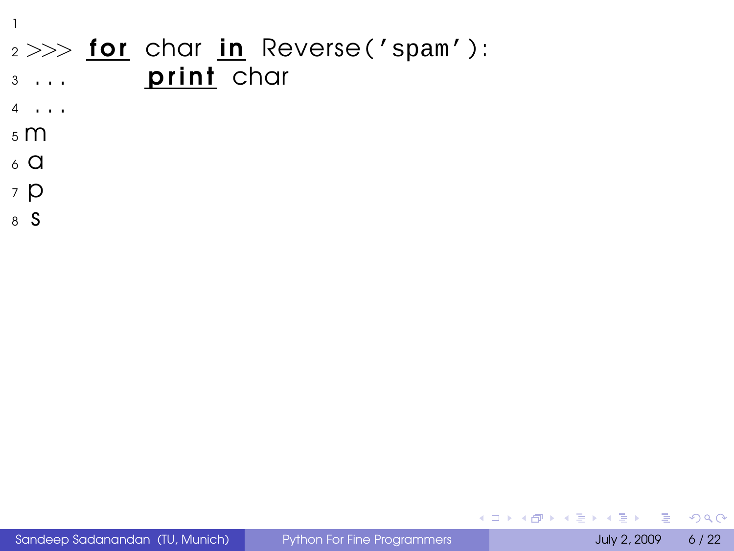#### $2 >>$  for char in Reverse ('spam'): 3 ... **print** char

- <sup>4</sup> . . .
- <sup>5</sup> m

1

- $6\,$  a
- <sup>7</sup> p
- <sup>8</sup> s

Sandeep Sadanandan (TU, Munich) [Python For Fine Programmers](#page-0-0) July 2, 2009 6/22

D.

 $299$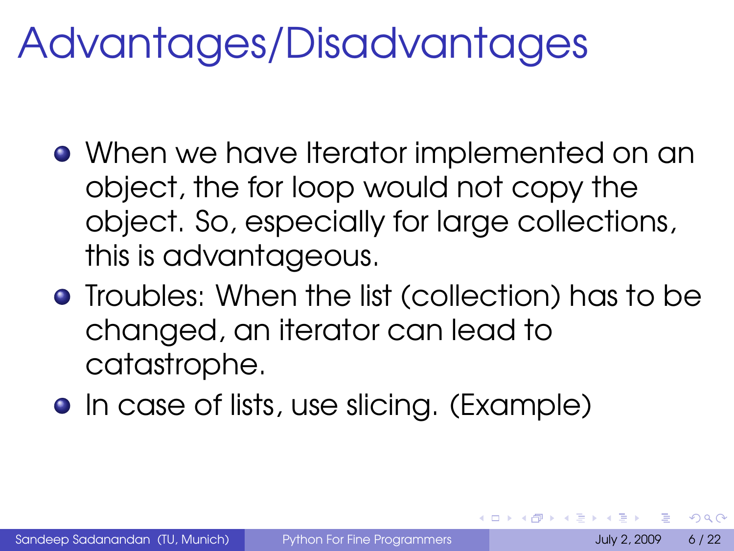# Advantages/Disadvantages

- When we have Iterator implemented on an object, the for loop would not copy the object. So, especially for large collections, this is advantageous.
- **•** Troubles: When the list (collection) has to be changed, an iterator can lead to catastrophe.
- In case of lists, use slicing. (Example)

 $\Omega$ 

イロト イ母 トイヨ トイヨト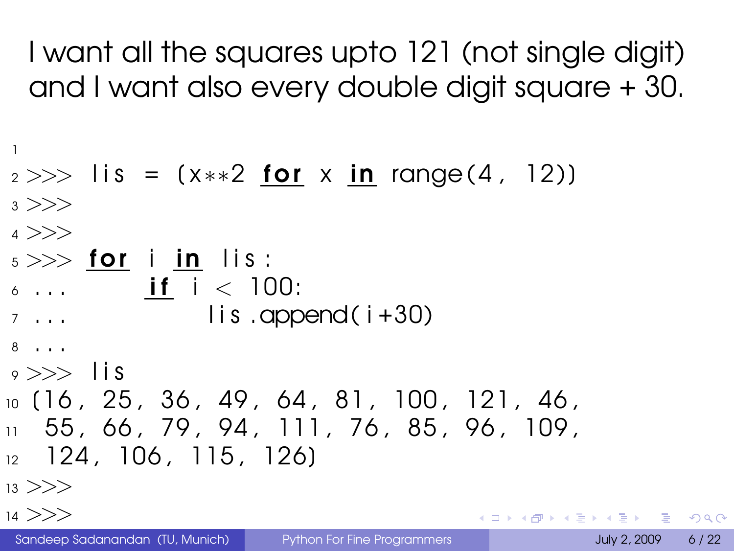I want all the squares upto 121 (not single digit) and I want also every double digit square + 30.

```
1
2 >> lis = (x**2 for x in range (4, 12)3 \gt>>4 >>>
_{5} >> for i in lis:
6... if i < 100:
7 \ldots lis append(i+30)
8 . . .
9 >>> l i s
10 (16, 25, 36, 49, 64, 81, 100, 121, 46,
11 55 , 66 , 79 , 94 , 111 , 76 , 85 , 96 , 109 ,
12 124, 106, 115, 126
13 >>
```
 $14$  >>>

KEL KALLA BIKA BIKA GA A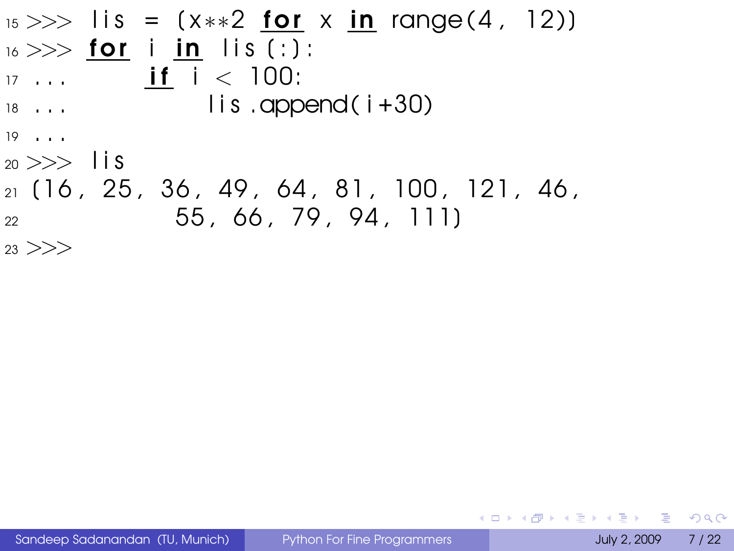$_{15} >>$  lis = (x\*\*2 for x in range(4, 12))  $_{16}$   $>>$  for i in lis (:):  $17 \ldots$  if  $i < 100$ :  $\frac{18}{18}$  ... lis .append(i+30) <sup>19</sup> . . .  $_{20} >>$  lis  $_{21}$  (16, 25, 36, 49, 64, 81, 100, 121, 46, <sup>22</sup> 55 , 66 , 79 , 94 , 111]  $23$   $>>$ 

Sandeep Sadanandan (TU, Munich) [Python For Fine Programmers](#page-0-0) July 2, 2009 7/22

KEL KALEY (EN EL AQO)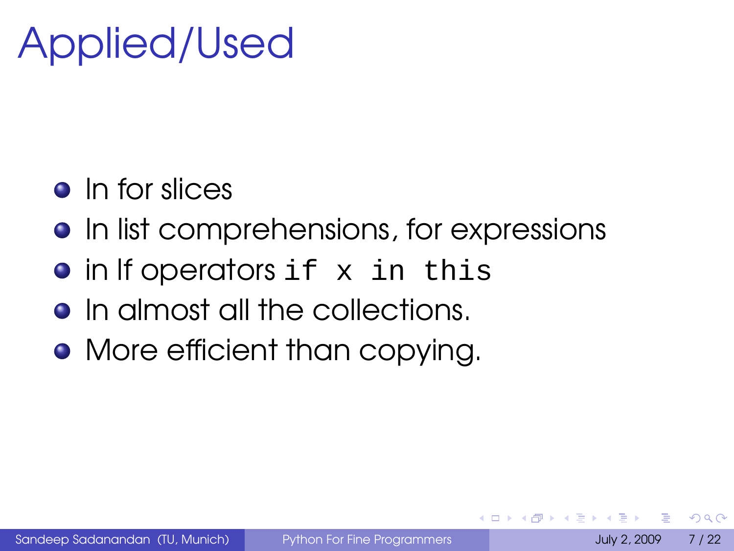## Applied/Used

- **o** In for slices
- In list comprehensions, for expressions
- in If operators if x in this
- **•** In almost all the collections.
- More efficient than copying.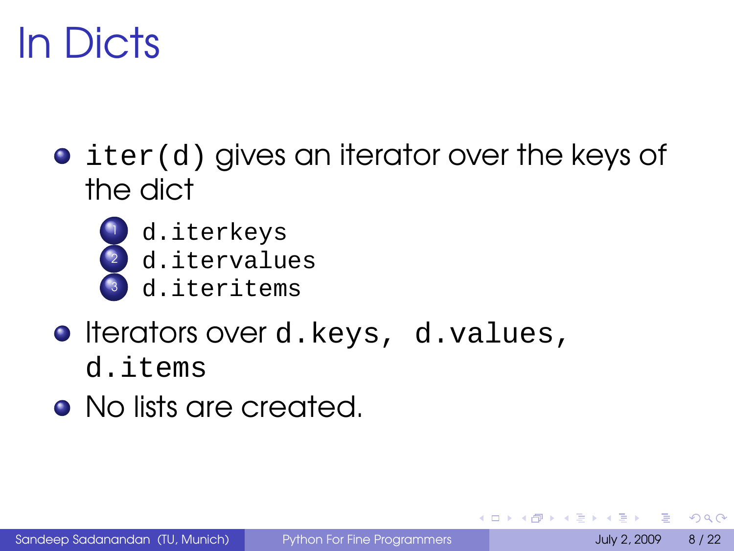# In Dicts

 $\bullet$  iter(d) gives an iterator over the keys of the dict



- d.iterkeys
- d.itervalues
- d.iteritems
- **O** Iterators over d.keys, d.values, d.items
- No lists are created.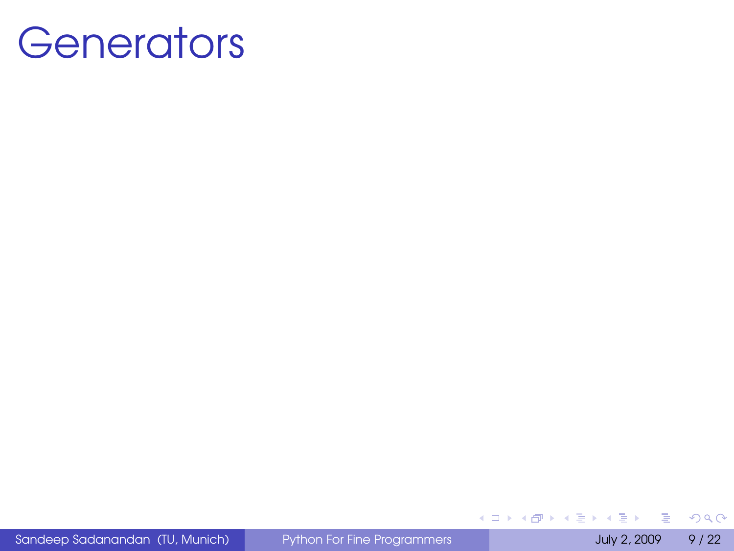#### **Generators**

Sandeep Sadanandan (TU, Munich) [Python For Fine Programmers](#page-0-0) July 2, 2009 9 / 22

<span id="page-14-0"></span>÷,

**I** 

 $299$ 

イロト (個) (注) (注)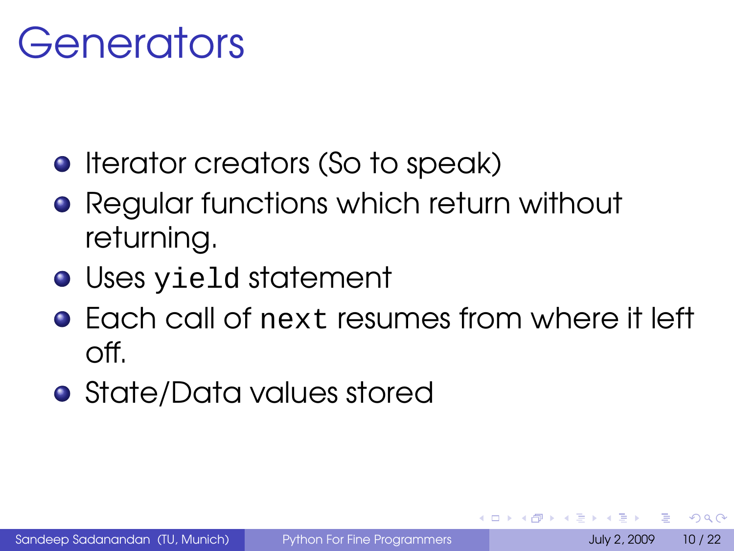#### Generators

- **•** Iterator creators (So to speak)
- **Regular functions which return without** returning.
- Uses yield statement
- **•** Each call of next resumes from where it left off.
- State/Data values stored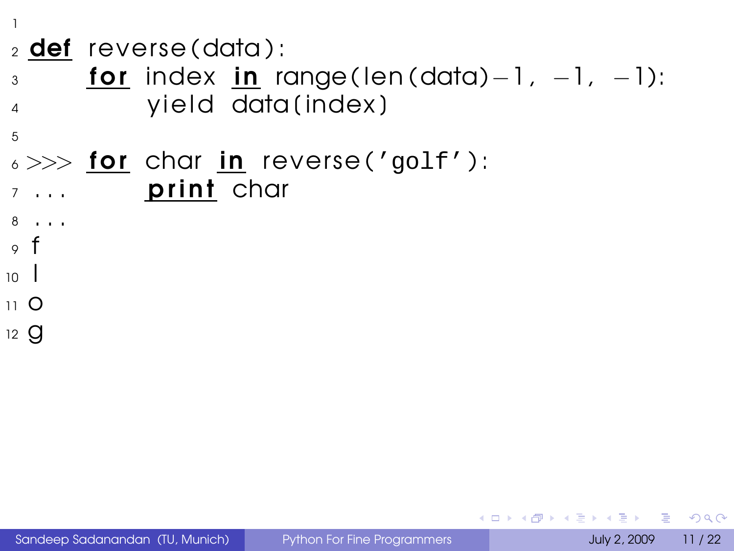1

5

- $_2$  def reverse (data):
- $\alpha_3$  for index in range(len(data)-1, -1, -1): 4 yield data (index)
- $\epsilon >> \textbf{for} \textbf{cor}$  char in reverse('golf'):  $\overline{z}$  ... **print** char

 $10<sup>-1</sup>$ 11 O  $12 \text{ }$ 

<sup>8</sup> . . .  $\circ$  f

 $QQ$ 

**KONKAPPK BY KEY B**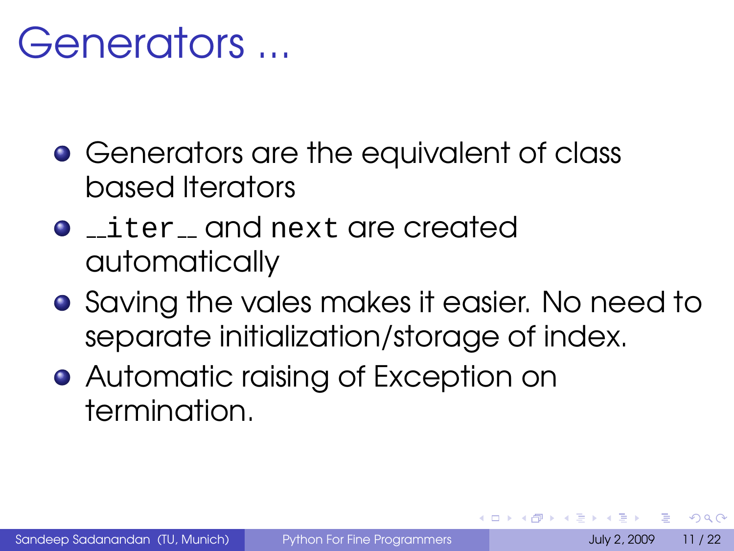#### Generators ...

- **•** Generators are the equivalent of class based Iterators
- iter and next are created automatically
- **•** Saving the vales makes it easier. No need to separate initialization/storage of index.
- **Automatic raising of Exception on** termination.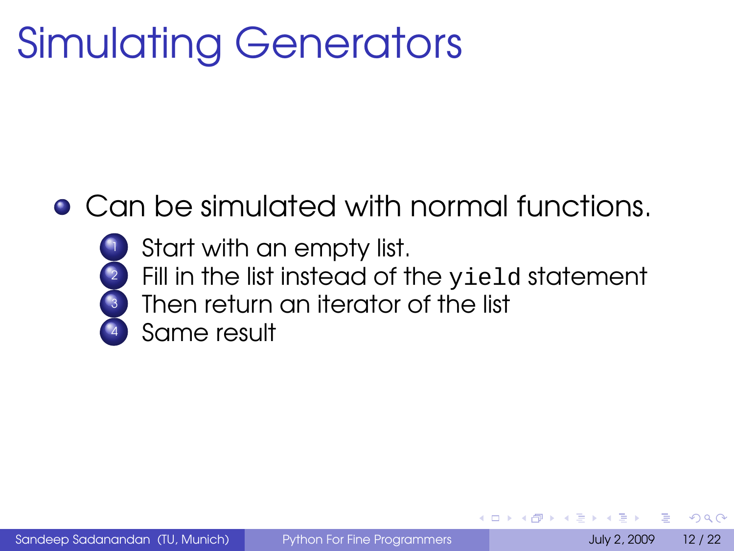# Simulating Generators

Can be simulated with normal functions.



- Start with an empty list.
- Fill in the list instead of the yield statement
- Then return an iterator of the list
- Same result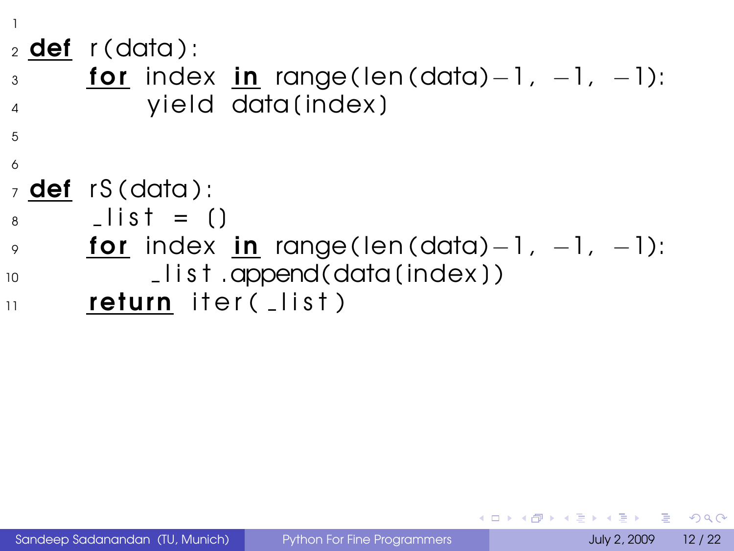1  $2$  def r (data): 3 **for** index in range(len(data)−1, −1, −1): 4 vield data (index) 5 6  $7$  def rS (data):  $8 \qquad$  \_ l i s t = ()  $\gamma$  for index in range(len(data)-1, -1, -1):  $_{10}$   $_{10}$   $_{1}$  ist .append(data(index))  $\overline{11}$  return iter( $\overline{1}$  list)

 $\Omega$ 

イロト イ押 トイヨ トイヨ トーヨー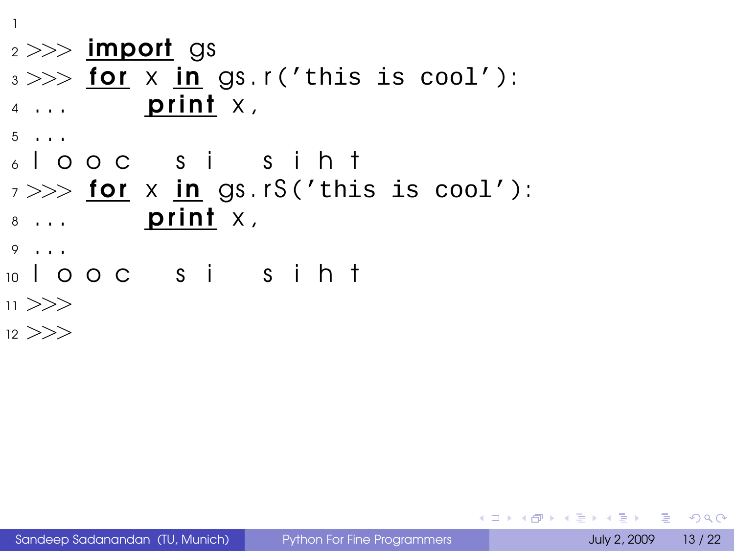1  $2 >>$  import gs  $3 \gg >>$  for x in gs. r('this is cool'):  $4 \ldots$  print  $X$ ,  $5 \cdot \cdot \cdot$ <sup>6</sup> l o o c s i s i h t  $7 >>$  for x in gs. rS('this is cool'):  $8 \ldots$  print  $X_i$ <sup>9</sup> . . . <sup>10</sup> l o o c s i s i h t  $11$  >>>

 $12$   $>>$ 

<span id="page-20-0"></span>KEL KALEY (EN EL AQO)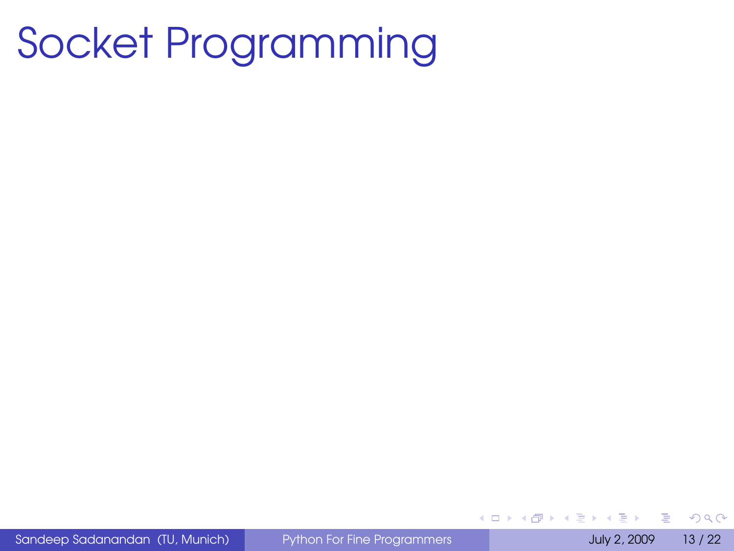## Socket Programming

Sandeep Sadanandan (TU, Munich) [Python For Fine Programmers](#page-0-0) July 2, 2009 13 / 22

 $\equiv$ 

 $QQ$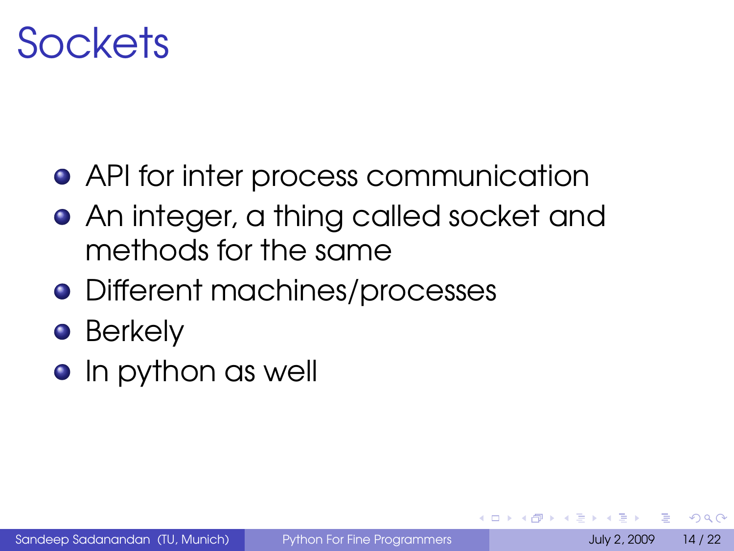#### Sockets

- API for inter process communication
- An integer, a thing called socket and methods for the same
- **•** Different machines/processes
- Berkely
- **•** In python as well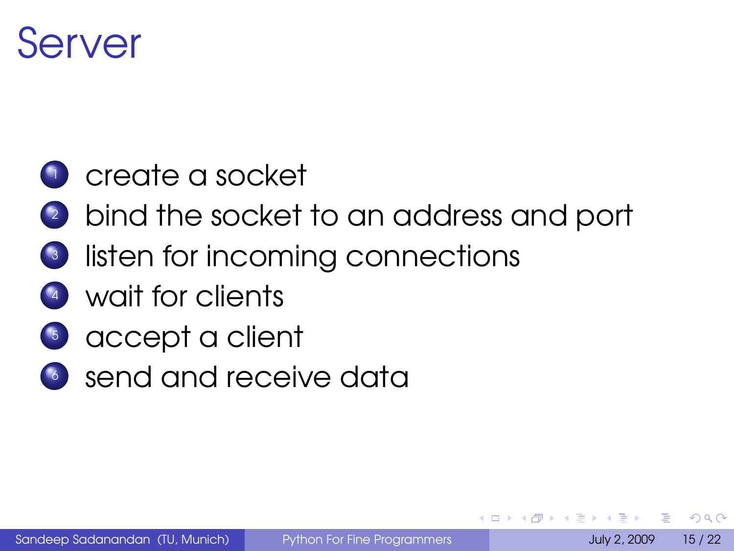#### Server

#### **1** create a socket

- 2 bind the socket to an address and port
- 3 listen for incoming connections
- <sup>4</sup> wait for clients
- <sup>5</sup> accept a client
- <sup>6</sup> send and receive data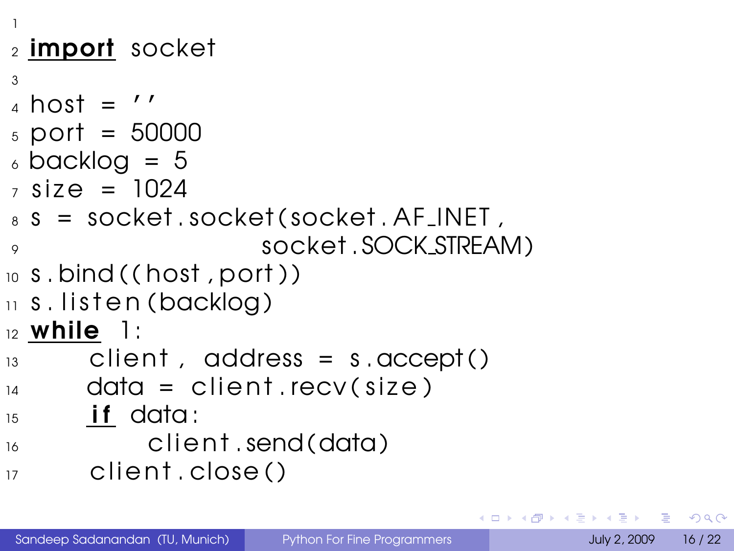```
1
2 import socket
3
_4 host = '5 port = 50000
6 backlog = 5
7 \text{ size} = 1024\,s s = socket . socket ( socket . AF_INET ,
9 socket . SOCK STREAM )
_{10} s. bind ((host, port))
\overline{11} s. listen (backlog)
12 while 1:
13 client, address = s.accept()
_{14} data = client recv(size)
_{15} if data:
\frac{16}{16} client send (data)
17 client. close ( )
```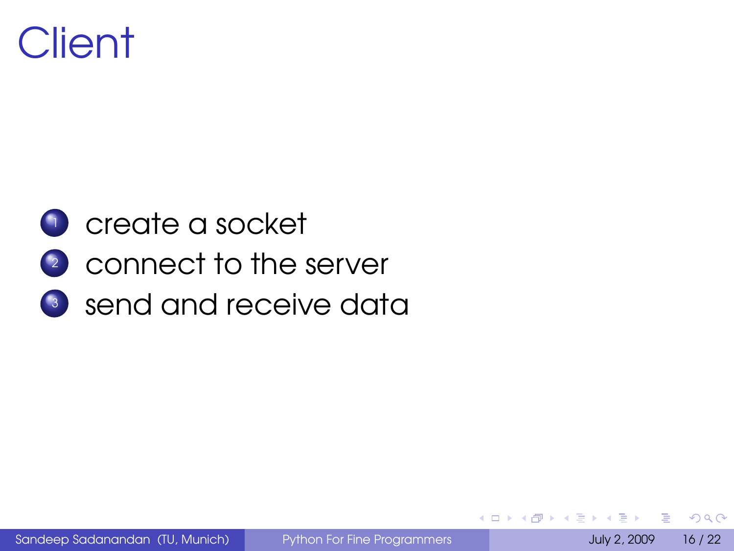#### **Client**

#### <sup>1</sup> create a socket

- <sup>2</sup> connect to the server
- <sup>3</sup> send and receive data

 $\Omega$ 

**4 ロ ト ィ 何 ト** 

 $\sim$  $\Rightarrow$   $\rightarrow$ 一 4 三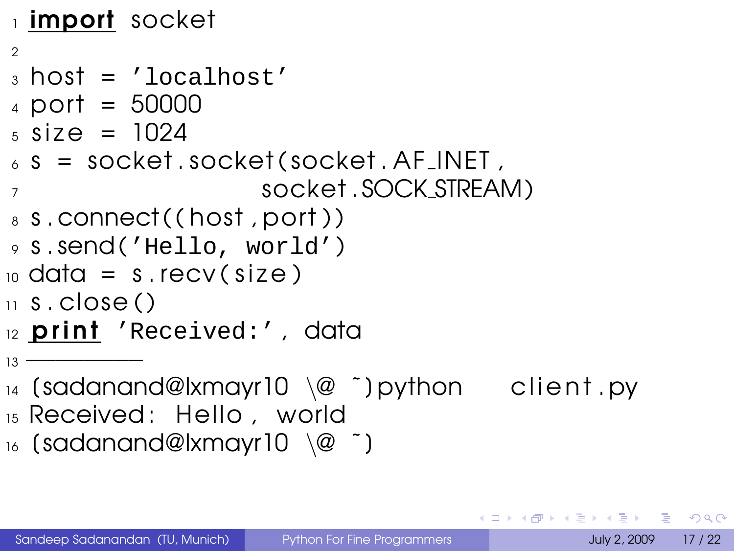```
1 import socket
\mathfrak{D}3 host = 'localhost'
4 port = 50000
5 \text{ size} = 1024\delta s = socket . socket (socket . AF_INET ,
7 socket . SOCK STREAM )
s s.connect((host, port))
9 s . send ('Hello, world')
_{10} data = s.recv(size)
\overline{11} s, close ()
12 print 'Received:', data
13 <del>−</del>
_{14} (sadanand@lxmayr10 \@ ~) python client. pv
```
- <sup>15</sup> Received : Hello , world
- 16 (sadanand@lxmayr10  $\qquad$ @ ~)

KED KARD KED KED E YORA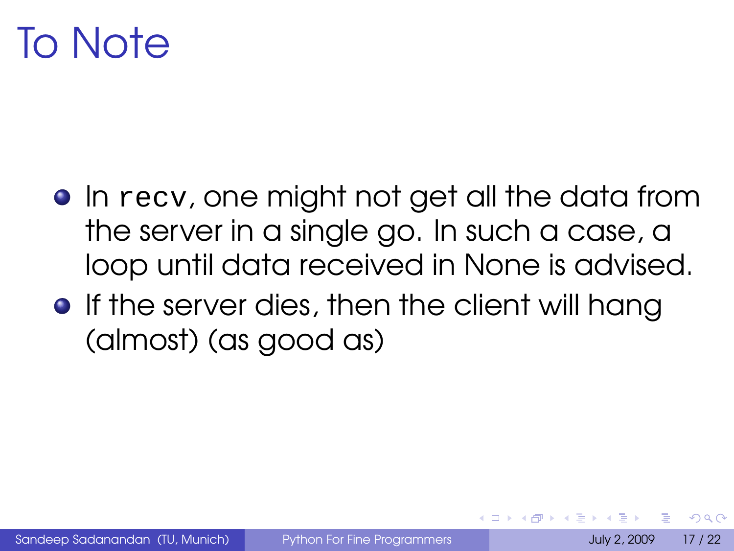#### To Note

- **•** In recv, one might not get all the data from the server in a single go. In such a case, a loop until data received in None is advised.
- **•** If the server dies, then the client will hang (almost) (as good as)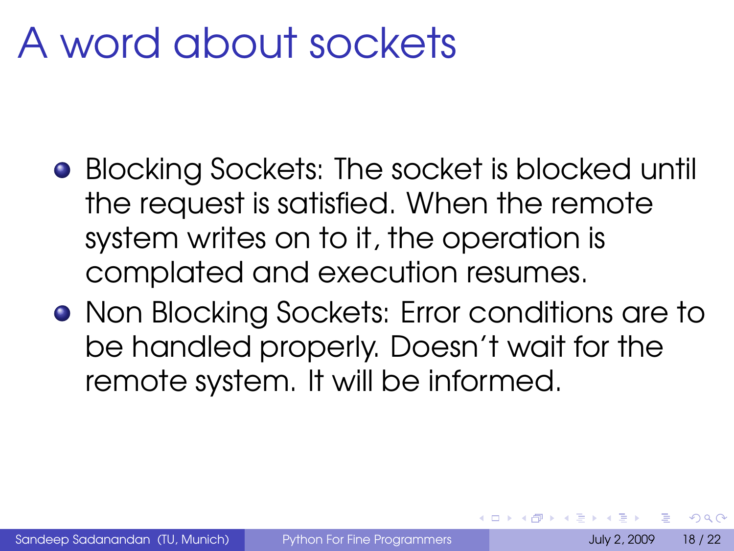## A word about sockets

- **•** Blocking Sockets: The socket is blocked until the request is satisfied. When the remote system writes on to it, the operation is complated and execution resumes.
- **•** Non Blocking Sockets: Error conditions are to be handled properly. Doesn't wait for the remote system. It will be informed.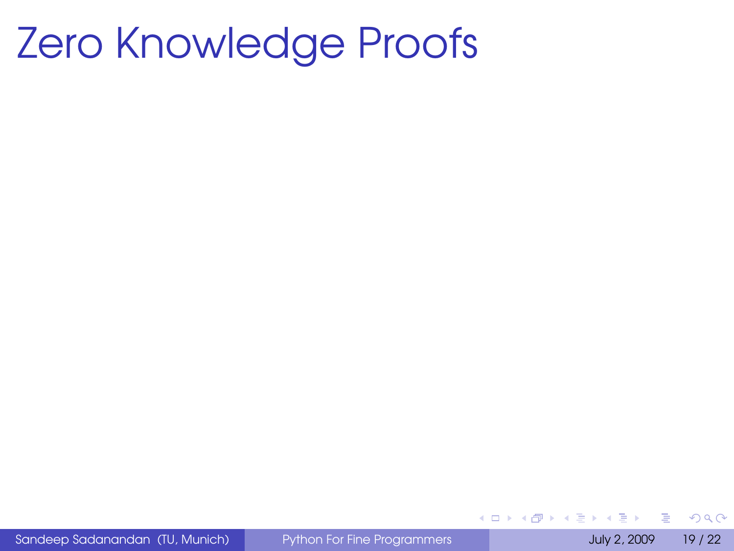### Zero Knowledge Proofs

Sandeep Sadanandan (TU, Munich) [Python For Fine Programmers](#page-0-0) July 2, 2009 19 / 22

<span id="page-29-0"></span> $\Rightarrow$ 

 $QQ$ 

イロトメ 御 トメ 君 トメ 君 トー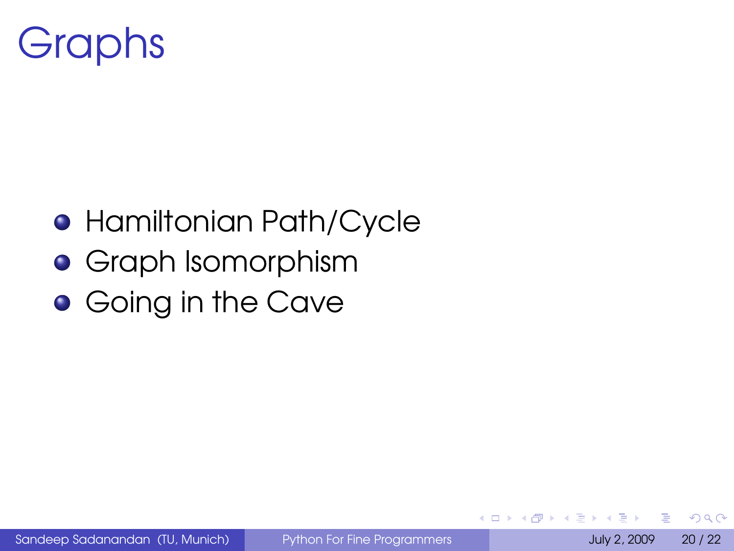## **Graphs**

- **Hamiltonian Path/Cycle**
- **•** Graph Isomorphism
- **Going in the Cave**

 $QQQ$ 

イロト イ押ト イヨト イヨト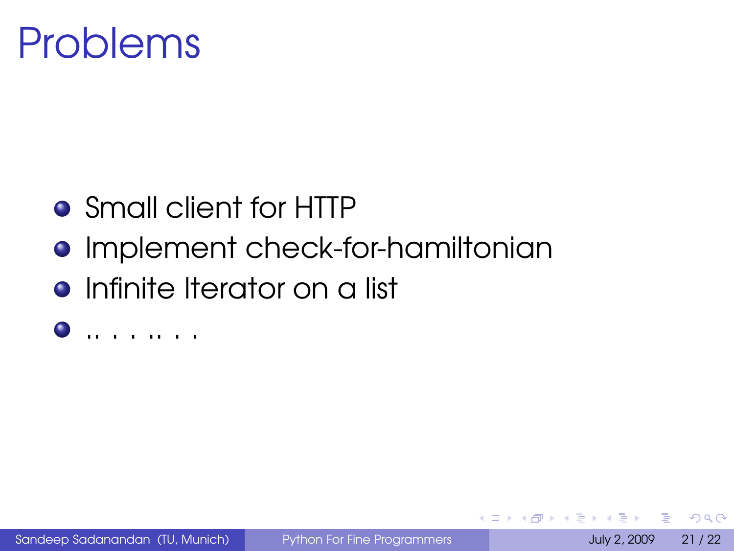### Problems

- Small client for HTTP
- **Implement check-for-hamiltonian**
- **•** Infinite Iterator on a list
- .. . . .. . .

 $\Omega$ 

<span id="page-31-0"></span> $\leftarrow$   $\Box$   $\rightarrow$   $\leftarrow$   $\leftarrow$   $\rightarrow$